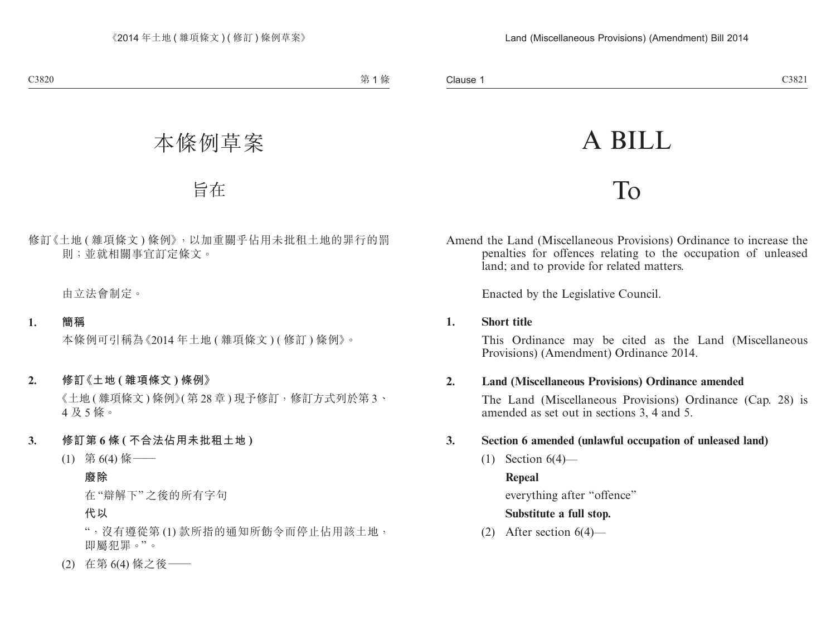# A BILL

## To

Amend the Land (Miscellaneous Provisions) Ordinance to increase the penalties for offences relating to the occupation of unleased land; and to provide for related matters.

Enacted by the Legislative Council.

#### **1. Short title**

This Ordinance may be cited as the Land (Miscellaneous Provisions) (Amendment) Ordinance 2014.

## **2. Land (Miscellaneous Provisions) Ordinance amended**

The Land (Miscellaneous Provisions) Ordinance (Cap. 28) is amended as set out in sections 3, 4 and 5.

## **3. Section 6 amended (unlawful occupation of unleased land)**

 $(1)$  Section  $6(4)$ —

#### **Repeal**

everything after "offence"

## **Substitute a full stop.**

(2) After section 6(4)—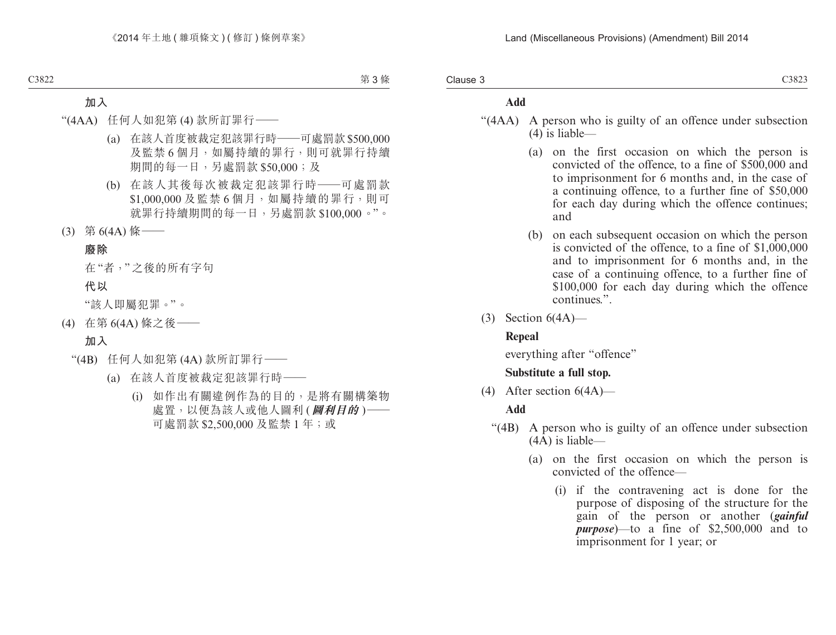Clause 3

#### **Add**

- "(4AA) A person who is guilty of an offence under subsection (4) is liable—
	- (a) on the first occasion on which the person is convicted of the offence, to a fine of \$500,000 and to imprisonment for 6 months and, in the case of a continuing offence, to a further fine of \$50,000 for each day during which the offence continues; and
	- (b) on each subsequent occasion on which the person is convicted of the offence, to a fine of \$1,000,000 and to imprisonment for 6 months and, in the case of a continuing offence, to a further fine of \$100,000 for each day during which the offence continues.".
- $(3)$  Section  $6(4A)$ —

#### **Repeal**

everything after "offence"

#### **Substitute a full stop.**

(4) After section  $6(4A)$ —

#### **Add**

- "(4B) A person who is guilty of an offence under subsection (4A) is liable—
	- (a) on the first occasion on which the person is convicted of the offence—
		- (i) if the contravening act is done for the purpose of disposing of the structure for the gain of the person or another (*gainful purpose*)—to a fine of \$2,500,000 and to imprisonment for 1 year; or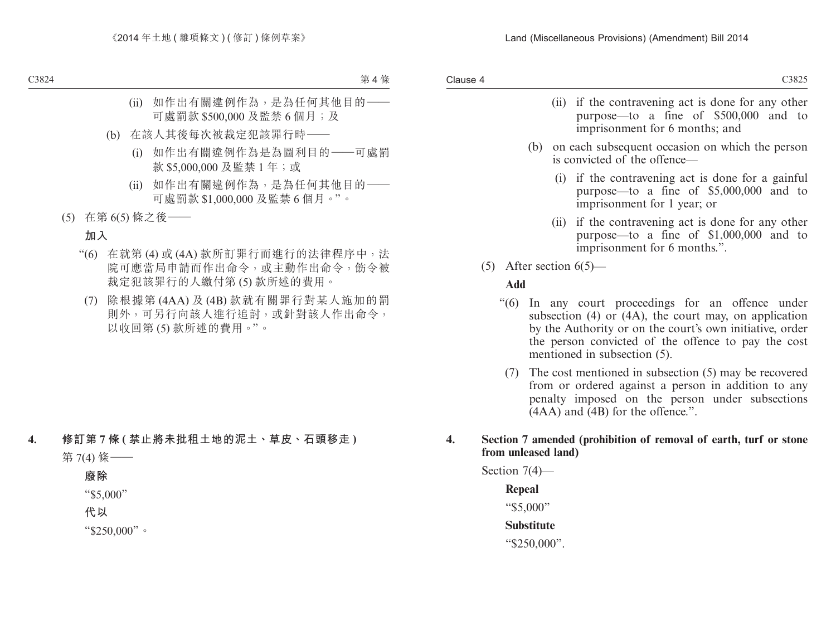- (ii) if the contravening act is done for any other purpose—to a fine of \$500,000 and to imprisonment for 6 months; and
- (b) on each subsequent occasion on which the person is convicted of the offence—
	- (i) if the contravening act is done for a gainful purpose—to a fine of \$5,000,000 and to imprisonment for 1 year; or
	- (ii) if the contravening act is done for any other purpose—to a fine of \$1,000,000 and to imprisonment for 6 months.".
- (5) After section  $6(5)$ —

#### **Add**

- "(6) In any court proceedings for an offence under subsection  $(4)$  or  $(4A)$ , the court may, on application by the Authority or on the court's own initiative, order the person convicted of the offence to pay the cost mentioned in subsection (5).
	- (7) The cost mentioned in subsection (5) may be recovered from or ordered against a person in addition to any penalty imposed on the person under subsections  $(AAA)$  and  $(4B)$  for the offence.".

#### **4. Section 7 amended (prohibition of removal of earth, turf or stone from unleased land)**

Section 7(4)—

## **Repeal**

"\$5,000"

#### **Substitute**

"\$250,000".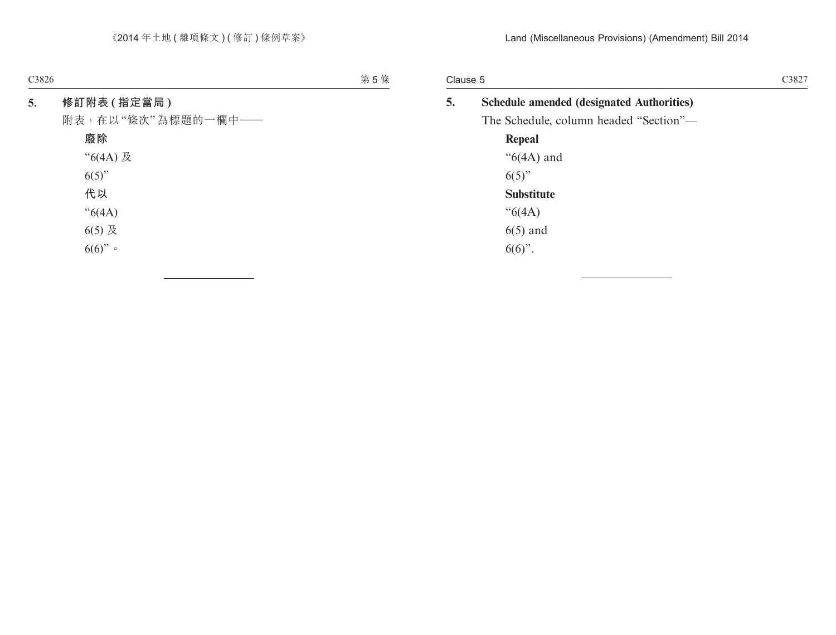Clause 5

| 5. | <b>Schedule amended (designated Authorities)</b> |
|----|--------------------------------------------------|
|    | The Schedule, column headed "Section"—           |
|    | Repeal                                           |
|    | " $6(4A)$ and                                    |
|    | $6(5)$ "                                         |
|    | <b>Substitute</b>                                |
|    | " $6(4A)$                                        |
|    | $6(5)$ and                                       |
|    | $6(6)$ ".                                        |
|    |                                                  |